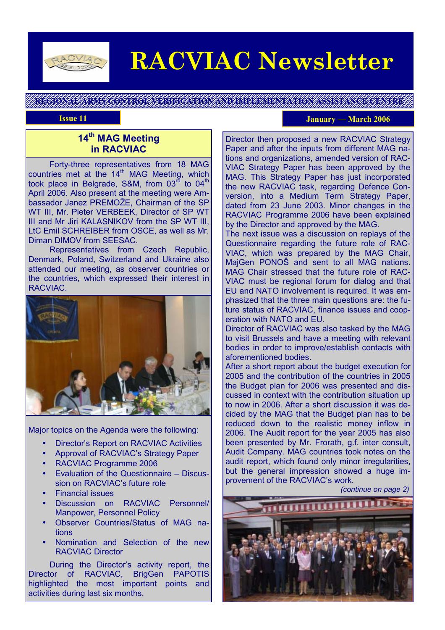

# **RACVIAC Newsletter**

**REGIONAL ARMS CONTROL VERIFICATION AND IMPLEMENTATION ASSISTANCE CENTRE** 

#### **Issue 11 Issue 11 Issue 11 Issue 11 Issue 11 Issue 11 Issue 11 Issue 11 Issue 11 Issue 11 Issue 11 Issue 11 Issue 11 Issue 11 Issue 11 Issue 11 Issue 11 Issue 11 Issue 11 Issue 11 I**

# **14th MAG Meeting in RACVIAC**

 Forty-three representatives from 18 MAG countries met at the 14<sup>th</sup> MAG Meeting, which took place in Belgrade, S&M, from  $03<sup>rd</sup>$  to  $04<sup>th</sup>$ April 2006. Also present at the meeting were Ambassador Janez PREMOŽE, Chairman of the SP WT III, Mr. Pieter VERBEEK, Director of SP WT III and Mr Jiri KALASNIKOV from the SP WT III, LtC Emil SCHREIBER from OSCE, as well as Mr. Diman DIMOV from SEESAC.

 Representatives from Czech Republic, Denmark, Poland, Switzerland and Ukraine also attended our meeting, as observer countries or the countries, which expressed their interest in RACVIAC.



Major topics on the Agenda were the following:

- Director's Report on RACVIAC Activities
- Approval of RACVIAC's Strategy Paper
- RACVIAC Programme 2006
- Evaluation of the Questionnaire Discussion on RACVIAC's future role
- Financial issues
- Discussion on RACVIAC Personnel/ Manpower, Personnel Policy
- Observer Countries/Status of MAG nations
- Nomination and Selection of the new RACVIAC Director

 During the Director's activity report, the Director of RACVIAC, BrigGen PAPOTIS highlighted the most important points and activities during last six months.

Director then proposed a new RACVIAC Strategy Paper and after the inputs from different MAG nations and organizations, amended version of RAC-VIAC Strategy Paper has been approved by the MAG. This Strategy Paper has just incorporated the new RACVIAC task, regarding Defence Conversion, into a Medium Term Strategy Paper, dated from 23 June 2003. Minor changes in the RACVIAC Programme 2006 have been explained by the Director and approved by the MAG.

The next issue was a discussion on replays of the Questionnaire regarding the future role of RAC-VIAC, which was prepared by the MAG Chair, MajGen PONOŠ and sent to all MAG nations. MAG Chair stressed that the future role of RAC-VIAC must be regional forum for dialog and that EU and NATO involvement is required. It was emphasized that the three main questions are: the future status of RACVIAC, finance issues and cooperation with NATO and EU.

Director of RACVIAC was also tasked by the MAG to visit Brussels and have a meeting with relevant bodies in order to improve/establish contacts with aforementioned bodies.

After a short report about the budget execution for 2005 and the contribution of the countries in 2005 the Budget plan for 2006 was presented and discussed in context with the contribution situation up to now in 2006. After a short discussion it was decided by the MAG that the Budget plan has to be reduced down to the realistic money inflow in 2006. The Audit report for the year 2005 has also been presented by Mr. Frorath, g.f. inter consult, Audit Company. MAG countries took notes on the audit report, which found only minor irregularities, but the general impression showed a huge improvement of the RACVIAC's work.

*(continue on page 2)*

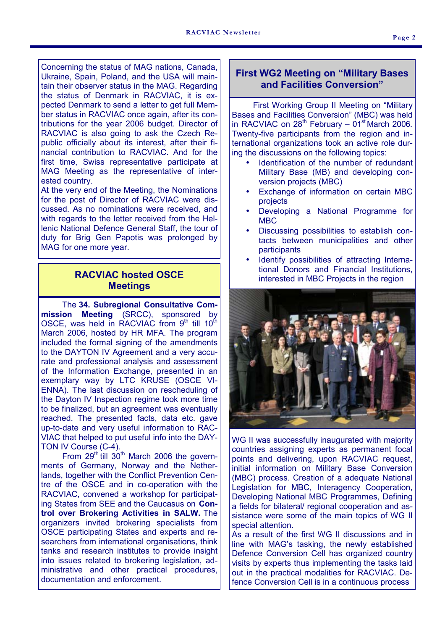Concerning the status of MAG nations, Canada, Ukraine, Spain, Poland, and the USA will maintain their observer status in the MAG. Regarding the status of Denmark in RACVIAC, it is expected Denmark to send a letter to get full Member status in RACVIAC once again, after its contributions for the year 2006 budget. Director of RACVIAC is also going to ask the Czech Republic officially about its interest, after their financial contribution to RACVIAC. And for the first time, Swiss representative participate at MAG Meeting as the representative of interested country.

At the very end of the Meeting, the Nominations for the post of Director of RACVIAC were discussed. As no nominations were received, and with regards to the letter received from the Hellenic National Defence General Staff, the tour of duty for Brig Gen Papotis was prolonged by MAG for one more year.

# **RACVIAC hosted OSCE Meetings**

 The **34. Subregional Consultative Commission Meeting** (SRCC), sponsored by OSCE, was held in RACVIAC from  $9<sup>th</sup>$  till  $10<sup>th</sup>$ March 2006, hosted by HR MFA. The program included the formal signing of the amendments to the DAYTON IV Agreement and a very accurate and professional analysis and assessment of the Information Exchange, presented in an exemplary way by LTC KRUSE (OSCE VI-ENNA). The last discussion on rescheduling of the Dayton IV Inspection regime took more time to be finalized, but an agreement was eventually reached. The presented facts, data etc. gave up-to-date and very useful information to RAC-VIAC that helped to put useful info into the DAY-TON IV Course (C-4).

From  $29<sup>th</sup>$  till  $30<sup>th</sup>$  March 2006 the governments of Germany, Norway and the Netherlands, together with the Conflict Prevention Centre of the OSCE and in co-operation with the RACVIAC, convened a workshop for participating States from SEE and the Caucasus on **Control over Brokering Activities in SALW.** The organizers invited brokering specialists from OSCE participating States and experts and researchers from international organisations, think tanks and research institutes to provide insight into issues related to brokering legislation, administrative and other practical procedures, documentation and enforcement.

#### **First WG2 Meeting on "Military Bases and Facilities Conversion"**

 First Working Group II Meeting on "Military Bases and Facilities Conversion" (MBC) was held in RACVIAC on  $28<sup>th</sup>$  February –  $01<sup>st</sup>$  March 2006. Twenty-five participants from the region and international organizations took an active role during the discussions on the following topics:

- Identification of the number of redundant Military Base (MB) and developing conversion projects (MBC)
- Exchange of information on certain MBC projects
- Developing a National Programme for MBC
- Discussing possibilities to establish contacts between municipalities and other participants
- Identify possibilities of attracting International Donors and Financial Institutions, interested in MBC Projects in the region



WG II was successfully inaugurated with majority countries assigning experts as permanent focal points and delivering, upon RACVIAC request, initial information on Military Base Conversion (MBC) process. Creation of a adequate National Legislation for MBC, Interagency Cooperation, Developing National MBC Programmes, Defining a fields for bilateral/ regional cooperation and assistance were some of the main topics of WG II special attention.

As a result of the first WG II discussions and in line with MAG's tasking, the newly established Defence Conversion Cell has organized country visits by experts thus implementing the tasks laid out in the practical modalities for RACVIAC. Defence Conversion Cell is in a continuous process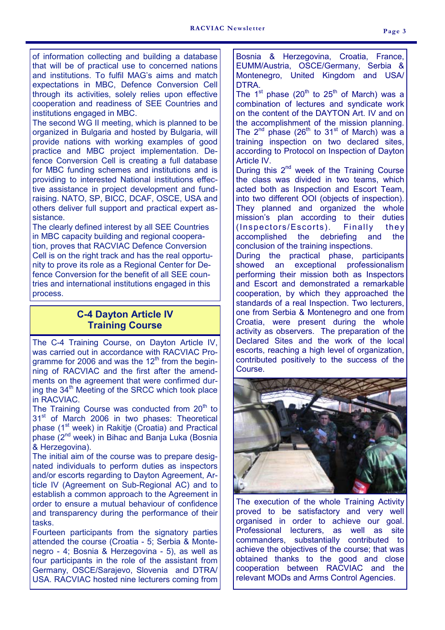of information collecting and building a database that will be of practical use to concerned nations and institutions. To fulfil MAG's aims and match expectations in MBC, Defence Conversion Cell through its activities, solely relies upon effective cooperation and readiness of SEE Countries and institutions engaged in MBC.

The second WG II meeting, which is planned to be organized in Bulgaria and hosted by Bulgaria, will provide nations with working examples of good practice and MBC project implementation. Defence Conversion Cell is creating a full database for MBC funding schemes and institutions and is providing to interested National institutions effective assistance in project development and fundraising. NATO, SP, BICC, DCAF, OSCE, USA and others deliver full support and practical expert assistance.

The clearly defined interest by all SEE Countries in MBC capacity building and regional cooperation, proves that RACVIAC Defence Conversion Cell is on the right track and has the real opportunity to prove its role as a Regional Center for Defence Conversion for the benefit of all SEE countries and international institutions engaged in this process.

# **C-4 Dayton Article IV Training Course**

The C-4 Training Course, on Dayton Article IV, was carried out in accordance with RACVIAC Programme for 2006 and was the  $12<sup>th</sup>$  from the beginning of RACVIAC and the first after the amendments on the agreement that were confirmed during the 34<sup>th</sup> Meeting of the SRCC which took place in RACVIAC.

The Training Course was conducted from  $20<sup>th</sup>$  to 31<sup>st</sup> of March 2006 in two phases: Theoretical phase (1<sup>st</sup> week) in Rakitje (Croatia) and Practical phase (2<sup>nd</sup> week) in Bihac and Banja Luka (Bosnia & Herzegovina).

The initial aim of the course was to prepare designated individuals to perform duties as inspectors and/or escorts regarding to Dayton Agreement, Article IV (Agreement on Sub-Regional AC) and to establish a common approach to the Agreement in order to ensure a mutual behaviour of confidence and transparency during the performance of their tasks.

Fourteen participants from the signatory parties attended the course (Croatia - 5; Serbia & Montenegro - 4; Bosnia & Herzegovina - 5), as well as four participants in the role of the assistant from Germany, OSCE/Sarajevo, Slovenia and DTRA/ USA. RACVIAC hosted nine lecturers coming from

Bosnia & Herzegovina, Croatia, France, EUMM/Austria, OSCE/Germany, Serbia & Montenegro, United Kingdom and USA/ DTRA.

The  $1^{st}$  phase (20<sup>th</sup> to 25<sup>th</sup> of March) was a combination of lectures and syndicate work on the content of the DAYTON Art. IV and on the accomplishment of the mission planning. The  $2^{nd}$  phase (26<sup>th</sup> to 31<sup>st</sup> of March) was a training inspection on two declared sites, according to Protocol on Inspection of Dayton Article IV.

During this  $2^{nd}$  week of the Training Course the class was divided in two teams, which acted both as Inspection and Escort Team, into two different OOI (objects of inspection). They planned and organized the whole mission's plan according to their duties (Inspectors/Escorts). Finally they accomplished the debriefing and the conclusion of the training inspections. During the practical phase, participants showed an exceptional professionalism performing their mission both as Inspectors and Escort and demonstrated a remarkable cooperation, by which they approached the standards of a real Inspection. Two lecturers, one from Serbia & Montenegro and one from Croatia, were present during the whole activity as observers. The preparation of the Declared Sites and the work of the local escorts, reaching a high level of organization,



contributed positively to the success of the

The execution of the whole Training Activity proved to be satisfactory and very well organised in order to achieve our goal. Professional lecturers, as well as site commanders, substantially contributed to achieve the objectives of the course; that was obtained thanks to the good and close cooperation between RACVIAC and the relevant MODs and Arms Control Agencies.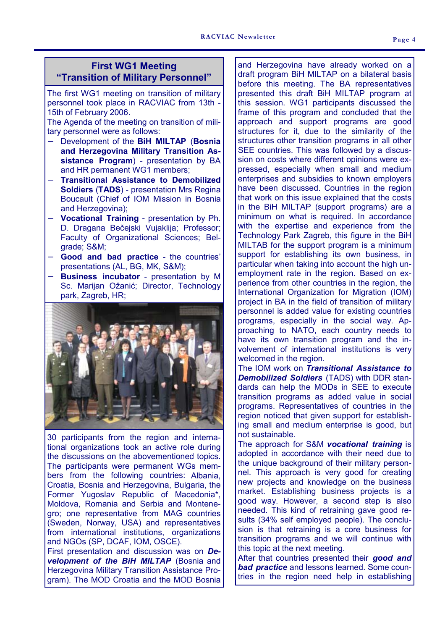#### **First WG1 Meeting "Transition of Military Personnel"**

The first WG1 meeting on transition of military personnel took place in RACVIAC from 13th - 15th of February 2006.

The Agenda of the meeting on transition of military personnel were as follows:

- − Development of the **BiH MILTAP** (**Bosnia and Herzegovina Military Transition Assistance Program**) - presentation by BA and HR permanent WG1 members;
- − **Transitional Assistance to Demobilized Soldiers** (**TADS**) - presentation Mrs Regina Boucault (Chief of IOM Mission in Bosnia and Herzegovina);
- − **Vocational Training** presentation by Ph. D. Dragana Bečejski Vujaklija; Professor; Faculty of Organizational Sciences; Belgrade; S&M;
- − **Good and bad practice** the countries' presentations (AL, BG, MK, S&M);
- − **Business incubator** presentation by M Sc. Marijan Ožanić; Director, Technology park, Zagreb, HR;



30 participants from the region and international organizations took an active role during the discussions on the abovementioned topics. The participants were permanent WGs members from the following countries: Albania, Croatia, Bosnia and Herzegovina, Bulgaria, the Former Yugoslav Republic of Macedonia\*, Moldova, Romania and Serbia and Montenegro; one representative from MAG countries (Sweden, Norway, USA) and representatives from international institutions, organizations and NGOs (SP, DCAF, IOM, OSCE).

First presentation and discussion was on *Development of the BiH MILTAP* (Bosnia and Herzegovina Military Transition Assistance Program). The MOD Croatia and the MOD Bosnia

and Herzegovina have already worked on a draft program BiH MILTAP on a bilateral basis before this meeting. The BA representatives presented this draft BiH MILTAP program at this session. WG1 participants discussed the frame of this program and concluded that the approach and support programs are good structures for it, due to the similarity of the structures other transition programs in all other SEE countries. This was followed by a discussion on costs where different opinions were expressed, especially when small and medium enterprises and subsidies to known employers have been discussed. Countries in the region that work on this issue explained that the costs in the BiH MILTAP (support programs) are a minimum on what is required. In accordance with the expertise and experience from the Technology Park Zagreb, this figure in the BiH MILTAB for the support program is a minimum support for establishing its own business, in particular when taking into account the high unemployment rate in the region. Based on experience from other countries in the region, the International Organization for Migration (IOM) project in BA in the field of transition of military personnel is added value for existing countries programs, especially in the social way. Approaching to NATO, each country needs to have its own transition program and the involvement of international institutions is very welcomed in the region.

The IOM work on *Transitional Assistance to Demobilized Soldiers* (TADS) with DDR standards can help the MODs in SEE to execute transition programs as added value in social programs. Representatives of countries in the region noticed that given support for establishing small and medium enterprise is good, but not sustainable.

The approach for S&M *vocational training* is adopted in accordance with their need due to the unique background of their military personnel. This approach is very good for creating new projects and knowledge on the business market. Establishing business projects is a good way. However, a second step is also needed. This kind of retraining gave good results (34% self employed people). The conclusion is that retraining is a core business for transition programs and we will continue with this topic at the next meeting.

After that countries presented their *good and bad practice* and lessons learned. Some countries in the region need help in establishing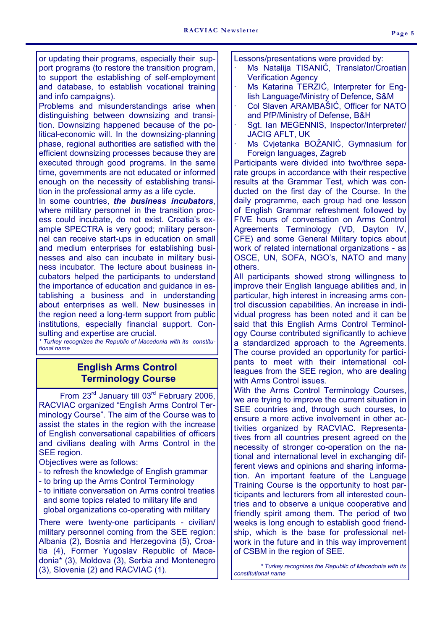or updating their programs, especially their support programs (to restore the transition program, to support the establishing of self-employment and database, to establish vocational training and info campaigns).

Problems and misunderstandings arise when distinguishing between downsizing and transition. Downsizing happened because of the political-economic will. In the downsizing-planning phase, regional authorities are satisfied with the efficient downsizing processes because they are executed through good programs. In the same time, governments are not educated or informed enough on the necessity of establishing transition in the professional army as a life cycle.

In some countries, *the business incubators*, where military personnel in the transition process could incubate, do not exist. Croatia's example SPECTRA is very good; military personnel can receive start-ups in education on small and medium enterprises for establishing businesses and also can incubate in military business incubator. The lecture about business incubators helped the participants to understand the importance of education and guidance in establishing a business and in understanding about enterprises as well. New businesses in the region need a long-term support from public institutions, especially financial support. Consulting and expertise are crucial.

*\* Turkey recognizes the Republic of Macedonia with its constitutional name* 

### **English Arms Control Terminology Course**

From 23<sup>rd</sup> January till 03<sup>rd</sup> February 2006, RACVIAC organized "English Arms Control Terminology Course". The aim of the Course was to assist the states in the region with the increase of English conversational capabilities of officers and civilians dealing with Arms Control in the SEE region.

Objectives were as follows:

- to refresh the knowledge of English grammar
- to bring up the Arms Control Terminology
- to initiate conversation on Arms control treaties and some topics related to military life and global organizations co-operating with military

There were twenty-one participants - civilian/ military personnel coming from the SEE region: Albania (2), Bosnia and Herzegovina (5), Croatia (4), Former Yugoslav Republic of Macedonia\* (3), Moldova (3), Serbia and Montenegro (3), Slovenia (2) and RACVIAC (1).

Lessons/presentations were provided by:

- Ms Natalija TISANIĆ, Translator/Croatian Verification Agency
- Ms Katarina TERZIĆ, Interpreter for English Language/Ministry of Defence, S&M
- · Col Slaven ARAMBAŠIĆ, Officer for NATO and PfP/Ministry of Defense, B&H
- Sgt. Ian MEGENNIS, Inspector/Interpreter/ JACIG AFLT, UK
- Ms Cvjetanka BOŽANIĆ, Gymnasium for Foreign languages, Zagreb

Participants were divided into two/three separate groups in accordance with their respective results at the Grammar Test, which was conducted on the first day of the Course. In the daily programme, each group had one lesson of English Grammar refreshment followed by FIVE hours of conversation on Arms Control Agreements Terminology (VD, Dayton IV, CFE) and some General Military topics about work of related international organizations - as OSCE, UN, SOFA, NGO's, NATO and many others.

All participants showed strong willingness to improve their English language abilities and, in particular, high interest in increasing arms control discussion capabilities. An increase in individual progress has been noted and it can be said that this English Arms Control Terminology Course contributed significantly to achieve a standardized approach to the Agreements. The course provided an opportunity for participants to meet with their international colleagues from the SEE region, who are dealing with Arms Control issues.

With the Arms Control Terminology Courses, we are trying to improve the current situation in SEE countries and, through such courses, to ensure a more active involvement in other activities organized by RACVIAC. Representatives from all countries present agreed on the necessity of stronger co-operation on the national and international level in exchanging different views and opinions and sharing information. An important feature of the Language Training Course is the opportunity to host participants and lecturers from all interested countries and to observe a unique cooperative and friendly spirit among them. The period of two weeks is long enough to establish good friendship, which is the base for professional network in the future and in this way improvement of CSBM in the region of SEE.

 *\* Turkey recognizes the Republic of Macedonia with its constitutional name*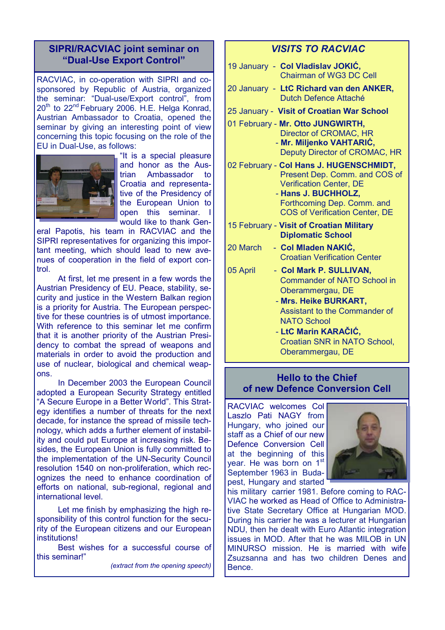### **SIPRI/RACVIAC joint seminar on "Dual-Use Export Control"**

RACVIAC, in co-operation with SIPRI and cosponsored by Republic of Austria, organized the seminar: "Dual-use/Export control", from 20<sup>th</sup> to 22<sup>nd</sup> February 2006. H.E. Helga Konrad, Austrian Ambassador to Croatia, opened the seminar by giving an interesting point of view concerning this topic focusing on the role of the EU in Dual-Use, as follows:



"It is a special pleasure and honor as the Austrian Ambassador to Croatia and representative of the Presidency of the European Union to open this seminar. I would like to thank Gen-

eral Papotis, his team in RACVIAC and the SIPRI representatives for organizing this important meeting, which should lead to new avenues of cooperation in the field of export control.

 At first, let me present in a few words the Austrian Presidency of EU. Peace, stability, security and justice in the Western Balkan region is a priority for Austria. The European perspective for these countries is of utmost importance. With reference to this seminar let me confirm that it is another priority of the Austrian Presidency to combat the spread of weapons and materials in order to avoid the production and use of nuclear, biological and chemical weapons.

 In December 2003 the European Council adopted a European Security Strategy entitled "A Secure Europe in a Better World". This Strategy identifies a number of threats for the next decade, for instance the spread of missile technology, which adds a further element of instability and could put Europe at increasing risk. Besides, the European Union is fully committed to the implementation of the UN-Security Council resolution 1540 on non-proliferation, which recognizes the need to enhance coordination of efforts on national, sub-regional, regional and international level.

 Let me finish by emphasizing the high responsibility of this control function for the security of the European citizens and our European **institutions!** 

 Best wishes for a successful course of this seminar!"

*(extract from the opening speech)* 

#### *VISITS TO RACVIAC*

19 January - **Col Vladislav JOKIĆ,** Chairman of WG3 DC Cell 20 January - **LtC Richard van den ANKER,**  Dutch Defence Attaché 25 January - **Visit of Croatian War School**  01 February - **Mr. Otto JUNGWIRTH,** Director of CROMAC, HR - **Mr. Miljenko VAHTARIĆ,** Deputy Director of CROMAC, HR 02 February - **Col Hans J. HUGENSCHMIDT,**  Present Dep. Comm. and COS of Verification Center, DE - **Hans J. BUCHHOLZ,**  Forthcoming Dep. Comm. and COS of Verification Center, DE 15 February - **Visit of Croatian Military Diplomatic School**  20 March - **Col Mladen NAKIĆ,**  Croatian Verification Center 05 April - Col Mark P. SULLIVAN, Commander of NATO School in Oberammergau, DE - **Mrs. Heike BURKART,** Assistant to the Commander of NATO School - **LtC Marin KARAČIĆ,**  Croatian SNR in NATO School, Oberammergau, DE

#### **Hello to the Chief of new Defence Conversion Cell**

RACVIAC welcomes Col Laszlo Pati NAGY from Hungary, who joined our staff as a Chief of our new Defence Conversion Cell at the beginning of this vear. He was born on 1<sup>st</sup> September 1963 in Budapest, Hungary and started



his military carrier 1981. Before coming to RAC-VIAC he worked as Head of Office to Administrative State Secretary Office at Hungarian MOD. During his carrier he was a lecturer at Hungarian NDU, then he dealt with Euro Atlantic integration issues in MOD. After that he was MILOB in UN MINURSO mission. He is married with wife Zsuzsanna and has two children Denes and Bence.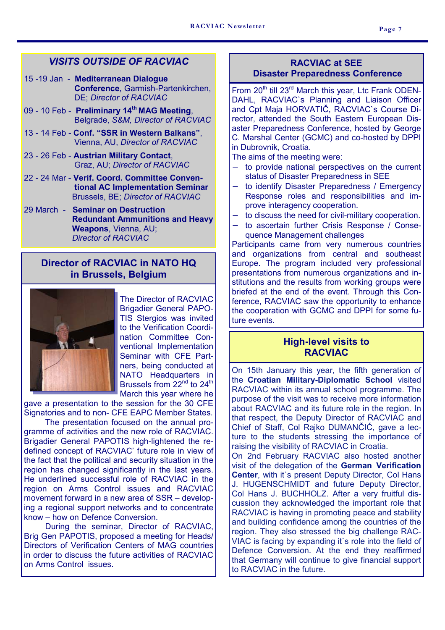#### *VISITS OUTSIDE OF RACVIAC*

- 15 -19 Jan **Mediterranean Dialogue Conference**, Garmish-Partenkirchen, DE; *Director of RACVIAC*
- 09 10 Feb **Preliminary 14th MAG Meeting**, Belgrade, *S&M, Director of RACVIAC*
- 13 14 Feb **Conf. "SSR in Western Balkans"**, Vienna, AU, *Director of RACVIAC*
- 23 26 Feb **Austrian Military Contact**, Graz, AU; *Director of RACVIAC*
- 22 24 Mar **Verif. Coord. Committee Conven tional AC Implementation Seminar**  Brussels, BE; *Director of RACVIAC*
- 29 March **Seminar on Destruction Redundant Ammunitions and Heavy Weapons**, Vienna, AU; *Director of RACVIAC*

#### **Director of RACVIAC in NATO HQ in Brussels, Belgium**



The Director of RACVIAC Brigadier General PAPO-TIS Stergios was invited to the Verification Coordination Committee Conventional Implementation Seminar with CFE Partners, being conducted at NATO Headquarters in Brussels from 22<sup>nd</sup> to 24<sup>th</sup> March this year where he

gave a presentation to the session for the 30 CFE Signatories and to non- CFE EAPC Member States.

 The presentation focused on the annual programme of activities and the new role of RACVIAC. Brigadier General PAPOTIS high-lightened the redefined concept of RACVIAC' future role in view of the fact that the political and security situation in the region has changed significantly in the last years. He underlined successful role of RACVIAC in the region on Arms Control issues and RACVIAC movement forward in a new area of SSR – developing a regional support networks and to concentrate know – how on Defence Conversion.

 During the seminar, Director of RACVIAC, Brig Gen PAPOTIS, proposed a meeting for Heads/ Directors of Verification Centers of MAG countries in order to discuss the future activities of RACVIAC on Arms Control issues.

#### **RACVIAC at SEE Disaster Preparedness Conference**

From 20<sup>th</sup> till 23<sup>rd</sup> March this year, Ltc Frank ODEN-DAHL, RACVIAC`s Planning and Liaison Officer and Cpt Maja HORVATIČ, RACVIAC`s Course Director, attended the South Eastern European Disaster Preparedness Conference, hosted by George C. Marshal Center (GCMC) and co-hosted by DPPI in Dubrovnik, Croatia.

The aims of the meeting were:

- to provide national perspectives on the current status of Disaster Preparedness in SEE
- to identify Disaster Preparedness / Emergency Response roles and responsibilities and improve interagency cooperation.
- to discuss the need for civil-military cooperation.
- − to ascertain further Crisis Response / Consequence Management challenges

Participants came from very numerous countries and organizations from central and southeast Europe. The program included very professional presentations from numerous organizations and institutions and the results from working groups were briefed at the end of the event. Through this Conference, RACVIAC saw the opportunity to enhance the cooperation with GCMC and DPPI for some future events.

#### **High-level visits to RACVIAC**

On 15th January this year, the fifth generation of the **Croatian Military-Diplomatic School** visited RACVIAC within its annual school programme. The purpose of the visit was to receive more information about RACVIAC and its future role in the region. In that respect, the Deputy Director of RACVIAC and Chief of Staff, Col Rajko DUMANČIĆ, gave a lecture to the students stressing the importance of raising the visibility of RACVIAC in Croatia. On 2nd February RACVIAC also hosted another visit of the delegation of the **German Verification Center, with it's present Deputy Director, Col Hans** 

J. HUGENSCHMIDT and future Deputy Director, Col Hans J. BUCHHOLZ. After a very fruitful discussion they acknowledged the important role that RACVIAC is having in promoting peace and stability and building confidence among the countries of the region. They also stressed the big challenge RAC-VIAC is facing by expanding it`s role into the field of Defence Conversion. At the end they reaffirmed that Germany will continue to give financial support to RACVIAC in the future.